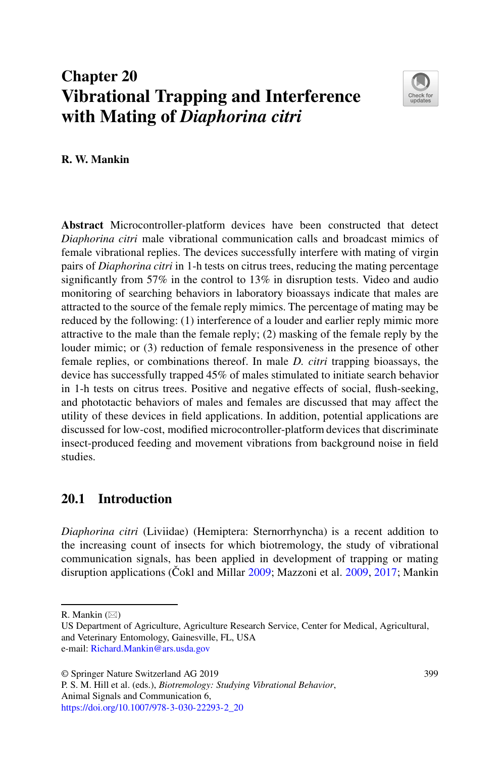# **Chapter 20 Vibrational Trapping and Interference with Mating of** *Diaphorina citri*



**R. W. Mankin**

**Abstract** Microcontroller-platform devices have been constructed that detect *Diaphorina citri* male vibrational communication calls and broadcast mimics of female vibrational replies. The devices successfully interfere with mating of virgin pairs of *Diaphorina citri* in 1-h tests on citrus trees, reducing the mating percentage significantly from 57% in the control to 13% in disruption tests. Video and audio monitoring of searching behaviors in laboratory bioassays indicate that males are attracted to the source of the female reply mimics. The percentage of mating may be reduced by the following: (1) interference of a louder and earlier reply mimic more attractive to the male than the female reply; (2) masking of the female reply by the louder mimic; or (3) reduction of female responsiveness in the presence of other female replies, or combinations thereof. In male *D. citri* trapping bioassays, the device has successfully trapped 45% of males stimulated to initiate search behavior in 1-h tests on citrus trees. Positive and negative effects of social, flush-seeking, and phototactic behaviors of males and females are discussed that may affect the utility of these devices in field applications. In addition, potential applications are discussed for low-cost, modified microcontroller-platform devices that discriminate insect-produced feeding and movement vibrations from background noise in field studies.

## **20.1 Introduction**

*Diaphorina citri* (Liviidae) (Hemiptera: Sternorrhyncha) is a recent addition to the increasing count of insects for which biotremology, the study of vibrational communication signals, has been applied in development of trapping or mating disruption applications (Cokl and Millar  $2009$ ; Mazzoni et al.  $2009$ ,  $2017$ ; Mankin

R. Mankin  $(\boxtimes)$ 

US Department of Agriculture, Agriculture Research Service, Center for Medical, Agricultural, and Veterinary Entomology, Gainesville, FL, USA e-mail: [Richard.Mankin@ars.usda.gov](mailto:Richard.Mankin@ars.usda.gov)

<sup>©</sup> Springer Nature Switzerland AG 2019

P. S. M. Hill et al. (eds.), *Biotremology: Studying Vibrational Behavior*, Animal Signals and Communication 6, [https://doi.org/10.1007/978-3-030-22293-2\\_20](https://doi.org/10.1007/978-3-030-22293-2_20)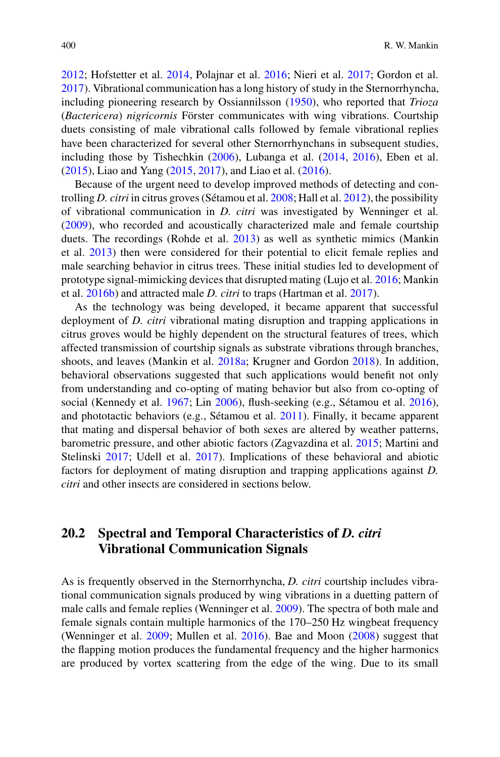[2012;](#page-12-2) Hofstetter et al. [2014,](#page-11-0) Polajnar et al. [2016;](#page-13-0) Nieri et al. [2017;](#page-13-1) Gordon et al. [2017\)](#page-10-1). Vibrational communication has a long history of study in the Sternorrhyncha, including pioneering research by Ossiannilsson [\(1950\)](#page-13-2), who reported that *Trioza* (*Bactericera*) *nigricornis* Förster communicates with wing vibrations. Courtship duets consisting of male vibrational calls followed by female vibrational replies have been characterized for several other Sternorrhynchans in subsequent studies, including those by Tishechkin [\(2006\)](#page-13-3), Lubanga et al. [\(2014,](#page-12-3) [2016\)](#page-12-4), Eben et al. [\(2015\)](#page-10-2), Liao and Yang [\(2015,](#page-11-1) [2017\)](#page-11-2), and Liao et al. [\(2016\)](#page-11-3).

Because of the urgent need to develop improved methods of detecting and controlling *D. citri* in citrus groves (Sétamou et al. [2008;](#page-13-4) Hall et al. [2012\)](#page-11-4), the possibility of vibrational communication in *D. citri* was investigated by Wenninger et al. [\(2009\)](#page-14-0), who recorded and acoustically characterized male and female courtship duets. The recordings (Rohde et al. [2013\)](#page-13-5) as well as synthetic mimics (Mankin et al. [2013\)](#page-12-5) then were considered for their potential to elicit female replies and male searching behavior in citrus trees. These initial studies led to development of prototype signal-mimicking devices that disrupted mating (Lujo et al. [2016;](#page-12-6) Mankin et al. [2016b\)](#page-12-7) and attracted male *D. citri* to traps (Hartman et al. [2017\)](#page-11-5).

As the technology was being developed, it became apparent that successful deployment of *D. citri* vibrational mating disruption and trapping applications in citrus groves would be highly dependent on the structural features of trees, which affected transmission of courtship signals as substrate vibrations through branches, shoots, and leaves (Mankin et al. [2018a;](#page-12-8) Krugner and Gordon [2018\)](#page-11-6). In addition, behavioral observations suggested that such applications would benefit not only from understanding and co-opting of mating behavior but also from co-opting of social (Kennedy et al. [1967;](#page-11-7) Lin [2006\)](#page-11-8), flush-seeking (e.g., Sétamou et al. [2016\)](#page-13-6), and phototactic behaviors (e.g., Sétamou et al. [2011\)](#page-13-7). Finally, it became apparent that mating and dispersal behavior of both sexes are altered by weather patterns, barometric pressure, and other abiotic factors (Zagvazdina et al. [2015;](#page-14-1) Martini and Stelinski [2017;](#page-12-9) Udell et al. [2017\)](#page-14-2). Implications of these behavioral and abiotic factors for deployment of mating disruption and trapping applications against *D. citri* and other insects are considered in sections below.

## **20.2 Spectral and Temporal Characteristics of** *D. citri* **Vibrational Communication Signals**

As is frequently observed in the Sternorrhyncha, *D. citri* courtship includes vibrational communication signals produced by wing vibrations in a duetting pattern of male calls and female replies (Wenninger et al. [2009\)](#page-14-0). The spectra of both male and female signals contain multiple harmonics of the 170–250 Hz wingbeat frequency (Wenninger et al. [2009;](#page-14-0) Mullen et al. [2016\)](#page-12-10). Bae and Moon [\(2008\)](#page-10-3) suggest that the flapping motion produces the fundamental frequency and the higher harmonics are produced by vortex scattering from the edge of the wing. Due to its small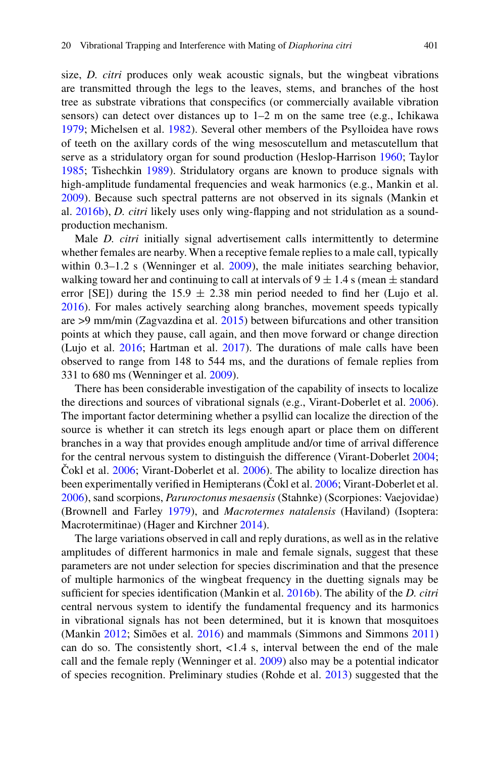size, *D. citri* produces only weak acoustic signals, but the wingbeat vibrations are transmitted through the legs to the leaves, stems, and branches of the host tree as substrate vibrations that conspecifics (or commercially available vibration sensors) can detect over distances up to 1–2 m on the same tree (e.g., Ichikawa [1979;](#page-11-9) Michelsen et al. [1982\)](#page-12-11). Several other members of the Psylloidea have rows of teeth on the axillary cords of the wing mesoscutellum and metascutellum that serve as a stridulatory organ for sound production (Heslop-Harrison [1960;](#page-11-10) Taylor [1985;](#page-13-8) Tishechkin [1989\)](#page-13-9). Stridulatory organs are known to produce signals with high-amplitude fundamental frequencies and weak harmonics (e.g., Mankin et al. [2009\)](#page-12-12). Because such spectral patterns are not observed in its signals (Mankin et al. [2016b\)](#page-12-7), *D. citri* likely uses only wing-flapping and not stridulation as a soundproduction mechanism.

Male *D. citri* initially signal advertisement calls intermittently to determine whether females are nearby. When a receptive female replies to a male call, typically within 0.3-1.2 s (Wenninger et al. [2009\)](#page-14-0), the male initiates searching behavior, walking toward her and continuing to call at intervals of  $9 \pm 1.4$  s (mean  $\pm$  standard error [SE]) during the  $15.9 \pm 2.38$  min period needed to find her (Lujo et al. [2016\)](#page-12-6). For males actively searching along branches, movement speeds typically are >9 mm/min (Zagvazdina et al. [2015\)](#page-14-1) between bifurcations and other transition points at which they pause, call again, and then move forward or change direction (Lujo et al. [2016;](#page-12-6) Hartman et al. [2017\)](#page-11-5). The durations of male calls have been observed to range from 148 to 544 ms, and the durations of female replies from 331 to 680 ms (Wenninger et al. [2009\)](#page-14-0).

There has been considerable investigation of the capability of insects to localize the directions and sources of vibrational signals (e.g., Virant-Doberlet et al. [2006\)](#page-14-3). The important factor determining whether a psyllid can localize the direction of the source is whether it can stretch its legs enough apart or place them on different branches in a way that provides enough amplitude and/or time of arrival difference for the central nervous system to distinguish the difference (Virant-Doberlet [2004;](#page-14-4) Cokl et al.  $2006$ ; Virant-Doberlet et al.  $2006$ ). The ability to localize direction has been experimentally verified in Hemipterans (Cokl et al. [2006;](#page-10-4) Virant-Doberlet et al. [2006\)](#page-14-3), sand scorpions, *Paruroctonus mesaensis* (Stahnke) (Scorpiones: Vaejovidae) (Brownell and Farley [1979\)](#page-10-5), and *Macrotermes natalensis* (Haviland) (Isoptera: Macrotermitinae) (Hager and Kirchner [2014\)](#page-10-6).

The large variations observed in call and reply durations, as well as in the relative amplitudes of different harmonics in male and female signals, suggest that these parameters are not under selection for species discrimination and that the presence of multiple harmonics of the wingbeat frequency in the duetting signals may be sufficient for species identification (Mankin et al. [2016b\)](#page-12-7). The ability of the *D. citri* central nervous system to identify the fundamental frequency and its harmonics in vibrational signals has not been determined, but it is known that mosquitoes (Mankin [2012;](#page-12-2) Simões et al. [2016\)](#page-13-10) and mammals (Simmons and Simmons [2011\)](#page-13-11) can do so. The consistently short, <1.4 s, interval between the end of the male call and the female reply (Wenninger et al. [2009\)](#page-14-0) also may be a potential indicator of species recognition. Preliminary studies (Rohde et al. [2013\)](#page-13-5) suggested that the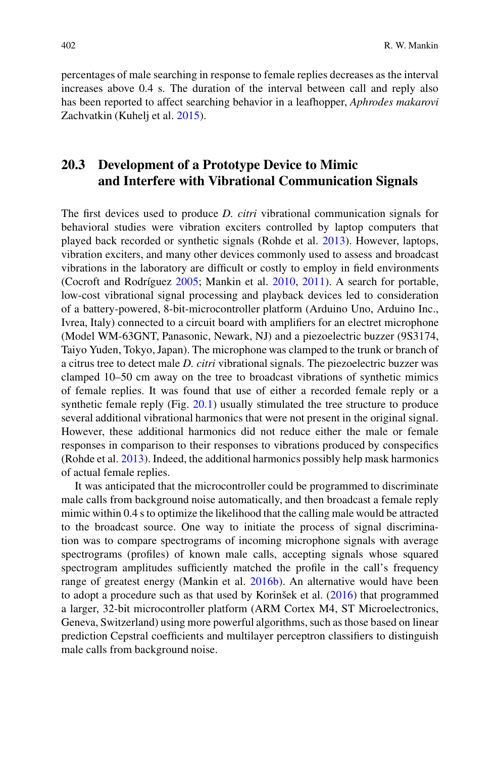percentages of male searching in response to female replies decreases as the interval increases above 0.4 s. The duration of the interval between call and reply also has been reported to affect searching behavior in a leafhopper, *Aphrodes makarovi* Zachvatkin (Kuheli et al. [2015\)](#page-11-11).

## **20.3 Development of a Prototype Device to Mimic and Interfere with Vibrational Communication Signals**

The first devices used to produce *D. citri* vibrational communication signals for behavioral studies were vibration exciters controlled by laptop computers that played back recorded or synthetic signals (Rohde et al. [2013\)](#page-13-5). However, laptops, vibration exciters, and many other devices commonly used to assess and broadcast vibrations in the laboratory are difficult or costly to employ in field environments (Cocroft and Rodríguez [2005;](#page-10-7) Mankin et al. [2010,](#page-12-13) [2011\)](#page-12-14). A search for portable, low-cost vibrational signal processing and playback devices led to consideration of a battery-powered, 8-bit-microcontroller platform (Arduino Uno, Arduino Inc., Ivrea, Italy) connected to a circuit board with amplifiers for an electret microphone (Model WM-63GNT, Panasonic, Newark, NJ) and a piezoelectric buzzer (9S3174, Taiyo Yuden, Tokyo, Japan). The microphone was clamped to the trunk or branch of a citrus tree to detect male *D. citri* vibrational signals. The piezoelectric buzzer was clamped 10–50 cm away on the tree to broadcast vibrations of synthetic mimics of female replies. It was found that use of either a recorded female reply or a synthetic female reply (Fig. [20.1\)](#page-4-0) usually stimulated the tree structure to produce several additional vibrational harmonics that were not present in the original signal. However, these additional harmonics did not reduce either the male or female responses in comparison to their responses to vibrations produced by conspecifics (Rohde et al. [2013\)](#page-13-5). Indeed, the additional harmonics possibly help mask harmonics of actual female replies.

It was anticipated that the microcontroller could be programmed to discriminate male calls from background noise automatically, and then broadcast a female reply mimic within 0.4 s to optimize the likelihood that the calling male would be attracted to the broadcast source. One way to initiate the process of signal discrimination was to compare spectrograms of incoming microphone signals with average spectrograms (profiles) of known male calls, accepting signals whose squared spectrogram amplitudes sufficiently matched the profile in the call's frequency range of greatest energy (Mankin et al. [2016b\)](#page-12-7). An alternative would have been to adopt a procedure such as that used by Korinšek et al. [\(2016\)](#page-11-12) that programmed a larger, 32-bit microcontroller platform (ARM Cortex M4, ST Microelectronics, Geneva, Switzerland) using more powerful algorithms, such as those based on linear prediction Cepstral coefficients and multilayer perceptron classifiers to distinguish male calls from background noise.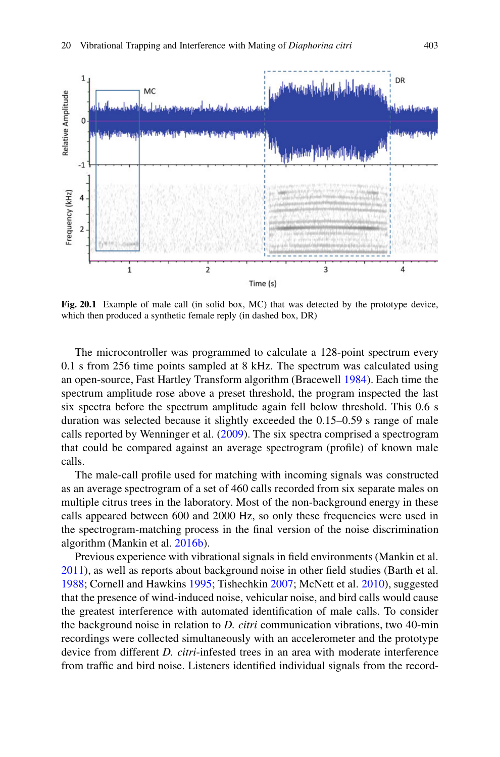

<span id="page-4-0"></span>Fig. 20.1 Example of male call (in solid box, MC) that was detected by the prototype device, which then produced a synthetic female reply (in dashed box, DR)

The microcontroller was programmed to calculate a 128-point spectrum every 0.1 s from 256 time points sampled at 8 kHz. The spectrum was calculated using an open-source, Fast Hartley Transform algorithm (Bracewell [1984\)](#page-10-8). Each time the spectrum amplitude rose above a preset threshold, the program inspected the last six spectra before the spectrum amplitude again fell below threshold. This 0.6 s duration was selected because it slightly exceeded the 0.15–0.59 s range of male calls reported by Wenninger et al. [\(2009\)](#page-14-0). The six spectra comprised a spectrogram that could be compared against an average spectrogram (profile) of known male calls.

The male-call profile used for matching with incoming signals was constructed as an average spectrogram of a set of 460 calls recorded from six separate males on multiple citrus trees in the laboratory. Most of the non-background energy in these calls appeared between 600 and 2000 Hz, so only these frequencies were used in the spectrogram-matching process in the final version of the noise discrimination algorithm (Mankin et al. [2016b\)](#page-12-7).

Previous experience with vibrational signals in field environments (Mankin et al. [2011\)](#page-12-14), as well as reports about background noise in other field studies (Barth et al. [1988;](#page-10-9) Cornell and Hawkins [1995;](#page-10-10) Tishechkin [2007;](#page-14-5) McNett et al. [2010\)](#page-12-15), suggested that the presence of wind-induced noise, vehicular noise, and bird calls would cause the greatest interference with automated identification of male calls. To consider the background noise in relation to *D. citri* communication vibrations, two 40-min recordings were collected simultaneously with an accelerometer and the prototype device from different *D. citri*-infested trees in an area with moderate interference from traffic and bird noise. Listeners identified individual signals from the record-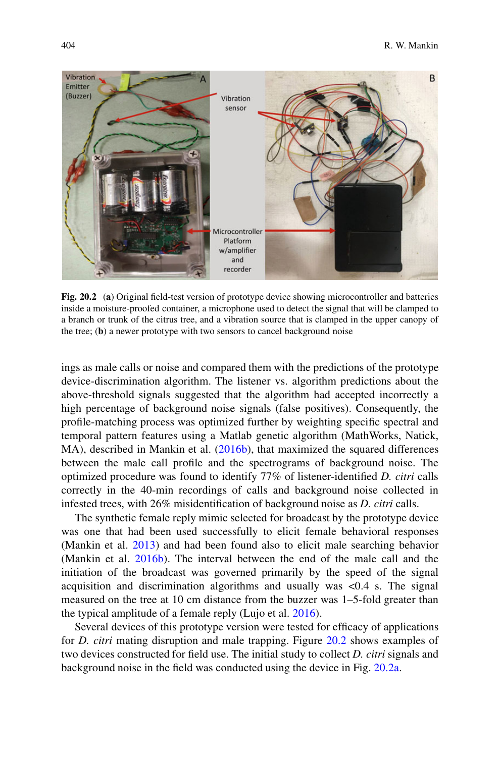

<span id="page-5-0"></span>**Fig. 20.2** (**a**) Original field-test version of prototype device showing microcontroller and batteries inside a moisture-proofed container, a microphone used to detect the signal that will be clamped to a branch or trunk of the citrus tree, and a vibration source that is clamped in the upper canopy of the tree; (**b**) a newer prototype with two sensors to cancel background noise

ings as male calls or noise and compared them with the predictions of the prototype device-discrimination algorithm. The listener vs. algorithm predictions about the above-threshold signals suggested that the algorithm had accepted incorrectly a high percentage of background noise signals (false positives). Consequently, the profile-matching process was optimized further by weighting specific spectral and temporal pattern features using a Matlab genetic algorithm (MathWorks, Natick, MA), described in Mankin et al. [\(2016b\)](#page-12-7), that maximized the squared differences between the male call profile and the spectrograms of background noise. The optimized procedure was found to identify 77% of listener-identified *D. citri* calls correctly in the 40-min recordings of calls and background noise collected in infested trees, with 26% misidentification of background noise as *D. citri* calls.

The synthetic female reply mimic selected for broadcast by the prototype device was one that had been used successfully to elicit female behavioral responses (Mankin et al. [2013\)](#page-12-5) and had been found also to elicit male searching behavior (Mankin et al. [2016b\)](#page-12-7). The interval between the end of the male call and the initiation of the broadcast was governed primarily by the speed of the signal acquisition and discrimination algorithms and usually was  $\langle 0.4 \rangle$  s. The signal measured on the tree at 10 cm distance from the buzzer was 1–5-fold greater than the typical amplitude of a female reply (Lujo et al. [2016\)](#page-12-6).

Several devices of this prototype version were tested for efficacy of applications for *D. citri* mating disruption and male trapping. Figure [20.2](#page-5-0) shows examples of two devices constructed for field use. The initial study to collect *D. citri* signals and background noise in the field was conducted using the device in Fig. [20.2a.](#page-5-0)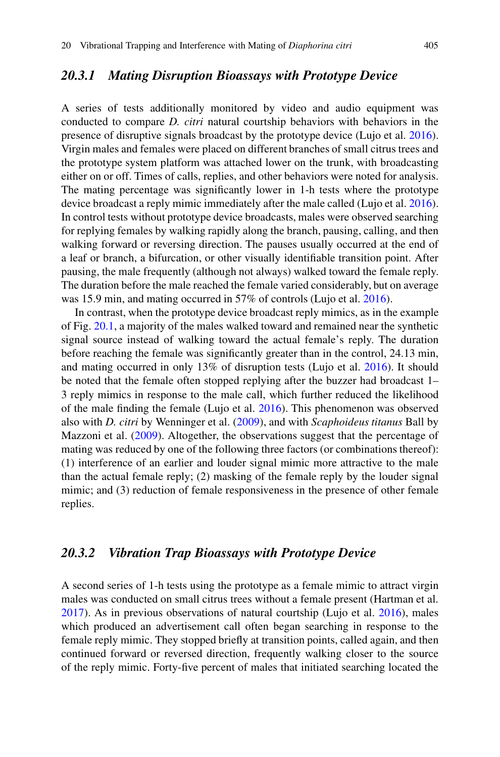#### *20.3.1 Mating Disruption Bioassays with Prototype Device*

A series of tests additionally monitored by video and audio equipment was conducted to compare *D. citri* natural courtship behaviors with behaviors in the presence of disruptive signals broadcast by the prototype device (Lujo et al. [2016\)](#page-12-6). Virgin males and females were placed on different branches of small citrus trees and the prototype system platform was attached lower on the trunk, with broadcasting either on or off. Times of calls, replies, and other behaviors were noted for analysis. The mating percentage was significantly lower in 1-h tests where the prototype device broadcast a reply mimic immediately after the male called (Lujo et al. [2016\)](#page-12-6). In control tests without prototype device broadcasts, males were observed searching for replying females by walking rapidly along the branch, pausing, calling, and then walking forward or reversing direction. The pauses usually occurred at the end of a leaf or branch, a bifurcation, or other visually identifiable transition point. After pausing, the male frequently (although not always) walked toward the female reply. The duration before the male reached the female varied considerably, but on average was 15.9 min, and mating occurred in 57% of controls (Lujo et al. [2016\)](#page-12-6).

In contrast, when the prototype device broadcast reply mimics, as in the example of Fig. [20.1,](#page-4-0) a majority of the males walked toward and remained near the synthetic signal source instead of walking toward the actual female's reply. The duration before reaching the female was significantly greater than in the control, 24.13 min, and mating occurred in only 13% of disruption tests (Lujo et al. [2016\)](#page-12-6). It should be noted that the female often stopped replying after the buzzer had broadcast 1– 3 reply mimics in response to the male call, which further reduced the likelihood of the male finding the female (Lujo et al. [2016\)](#page-12-6). This phenomenon was observed also with *D. citri* by Wenninger et al. [\(2009\)](#page-14-0), and with *Scaphoideus titanus* Ball by Mazzoni et al. [\(2009\)](#page-12-0). Altogether, the observations suggest that the percentage of mating was reduced by one of the following three factors (or combinations thereof): (1) interference of an earlier and louder signal mimic more attractive to the male than the actual female reply; (2) masking of the female reply by the louder signal mimic; and (3) reduction of female responsiveness in the presence of other female replies.

#### *20.3.2 Vibration Trap Bioassays with Prototype Device*

A second series of 1-h tests using the prototype as a female mimic to attract virgin males was conducted on small citrus trees without a female present (Hartman et al. [2017\)](#page-11-5). As in previous observations of natural courtship (Lujo et al. [2016\)](#page-12-6), males which produced an advertisement call often began searching in response to the female reply mimic. They stopped briefly at transition points, called again, and then continued forward or reversed direction, frequently walking closer to the source of the reply mimic. Forty-five percent of males that initiated searching located the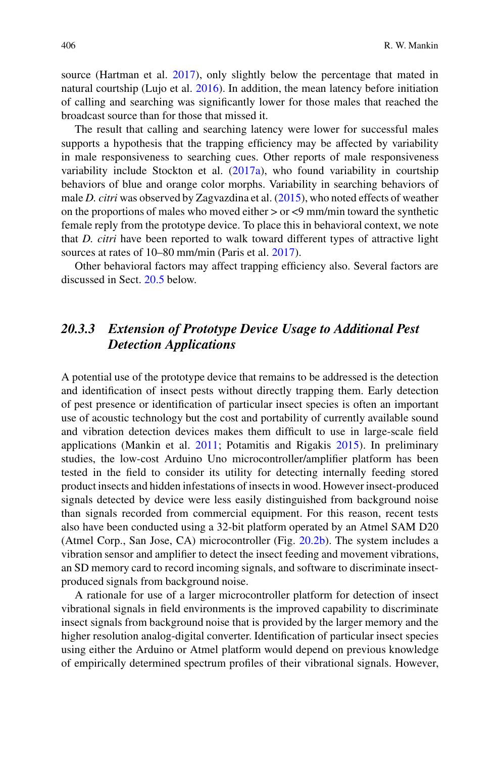source (Hartman et al. [2017\)](#page-11-5), only slightly below the percentage that mated in natural courtship (Lujo et al. [2016\)](#page-12-6). In addition, the mean latency before initiation of calling and searching was significantly lower for those males that reached the broadcast source than for those that missed it.

The result that calling and searching latency were lower for successful males supports a hypothesis that the trapping efficiency may be affected by variability in male responsiveness to searching cues. Other reports of male responsiveness variability include Stockton et al. [\(2017a\)](#page-13-12), who found variability in courtship behaviors of blue and orange color morphs. Variability in searching behaviors of male *D. citri* was observed by Zagvazdina et al. [\(2015\)](#page-14-1), who noted effects of weather on the proportions of males who moved either  $>$  or  $<$ 9 mm/min toward the synthetic female reply from the prototype device. To place this in behavioral context, we note that *D. citri* have been reported to walk toward different types of attractive light sources at rates of 10–80 mm/min (Paris et al. [2017\)](#page-13-13).

Other behavioral factors may affect trapping efficiency also. Several factors are discussed in Sect. [20.5](#page-9-0) below.

## *20.3.3 Extension of Prototype Device Usage to Additional Pest Detection Applications*

A potential use of the prototype device that remains to be addressed is the detection and identification of insect pests without directly trapping them. Early detection of pest presence or identification of particular insect species is often an important use of acoustic technology but the cost and portability of currently available sound and vibration detection devices makes them difficult to use in large-scale field applications (Mankin et al. [2011;](#page-12-14) Potamitis and Rigakis [2015\)](#page-13-14). In preliminary studies, the low-cost Arduino Uno microcontroller/amplifier platform has been tested in the field to consider its utility for detecting internally feeding stored product insects and hidden infestations of insects in wood. However insect-produced signals detected by device were less easily distinguished from background noise than signals recorded from commercial equipment. For this reason, recent tests also have been conducted using a 32-bit platform operated by an Atmel SAM D20 (Atmel Corp., San Jose, CA) microcontroller (Fig. [20.2b\)](#page-5-0). The system includes a vibration sensor and amplifier to detect the insect feeding and movement vibrations, an SD memory card to record incoming signals, and software to discriminate insectproduced signals from background noise.

A rationale for use of a larger microcontroller platform for detection of insect vibrational signals in field environments is the improved capability to discriminate insect signals from background noise that is provided by the larger memory and the higher resolution analog-digital converter. Identification of particular insect species using either the Arduino or Atmel platform would depend on previous knowledge of empirically determined spectrum profiles of their vibrational signals. However,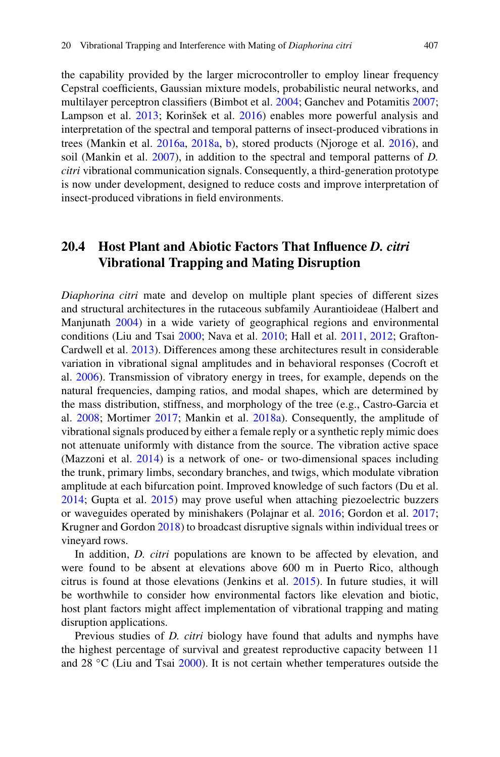the capability provided by the larger microcontroller to employ linear frequency Cepstral coefficients, Gaussian mixture models, probabilistic neural networks, and multilayer perceptron classifiers (Bimbot et al. [2004;](#page-10-11) Ganchev and Potamitis [2007;](#page-10-12) Lampson et al. [2013;](#page-11-13) Korinšek et al. [2016\)](#page-11-12) enables more powerful analysis and interpretation of the spectral and temporal patterns of insect-produced vibrations in trees (Mankin et al. [2016a,](#page-12-16) [2018a,](#page-12-8) [b\)](#page-12-17), stored products (Njoroge et al. [2016\)](#page-13-15), and soil (Mankin et al. [2007\)](#page-12-18), in addition to the spectral and temporal patterns of *D. citri* vibrational communication signals. Consequently, a third-generation prototype is now under development, designed to reduce costs and improve interpretation of insect-produced vibrations in field environments.

## **20.4 Host Plant and Abiotic Factors That Influence** *D. citri* **Vibrational Trapping and Mating Disruption**

*Diaphorina citri* mate and develop on multiple plant species of different sizes and structural architectures in the rutaceous subfamily Aurantioideae (Halbert and Manjunath [2004\)](#page-10-13) in a wide variety of geographical regions and environmental conditions (Liu and Tsai [2000;](#page-11-14) Nava et al. [2010;](#page-13-16) Hall et al. [2011,](#page-11-15) [2012;](#page-11-4) Grafton-Cardwell et al. [2013\)](#page-10-14). Differences among these architectures result in considerable variation in vibrational signal amplitudes and in behavioral responses (Cocroft et al. [2006\)](#page-10-15). Transmission of vibratory energy in trees, for example, depends on the natural frequencies, damping ratios, and modal shapes, which are determined by the mass distribution, stiffness, and morphology of the tree (e.g., Castro-Garcia et al. [2008;](#page-10-16) Mortimer [2017;](#page-12-19) Mankin et al. [2018a\)](#page-12-8). Consequently, the amplitude of vibrational signals produced by either a female reply or a synthetic reply mimic does not attenuate uniformly with distance from the source. The vibration active space (Mazzoni et al. [2014\)](#page-12-20) is a network of one- or two-dimensional spaces including the trunk, primary limbs, secondary branches, and twigs, which modulate vibration amplitude at each bifurcation point. Improved knowledge of such factors (Du et al. [2014;](#page-10-17) Gupta et al. [2015\)](#page-10-18) may prove useful when attaching piezoelectric buzzers or waveguides operated by minishakers (Polajnar et al. [2016;](#page-13-0) Gordon et al. [2017;](#page-10-1) Krugner and Gordon [2018\)](#page-11-6) to broadcast disruptive signals within individual trees or vineyard rows.

In addition, *D. citri* populations are known to be affected by elevation, and were found to be absent at elevations above 600 m in Puerto Rico, although citrus is found at those elevations (Jenkins et al. [2015\)](#page-11-16). In future studies, it will be worthwhile to consider how environmental factors like elevation and biotic, host plant factors might affect implementation of vibrational trapping and mating disruption applications.

Previous studies of *D. citri* biology have found that adults and nymphs have the highest percentage of survival and greatest reproductive capacity between 11 and 28  $\degree$ C (Liu and Tsai [2000\)](#page-11-14). It is not certain whether temperatures outside the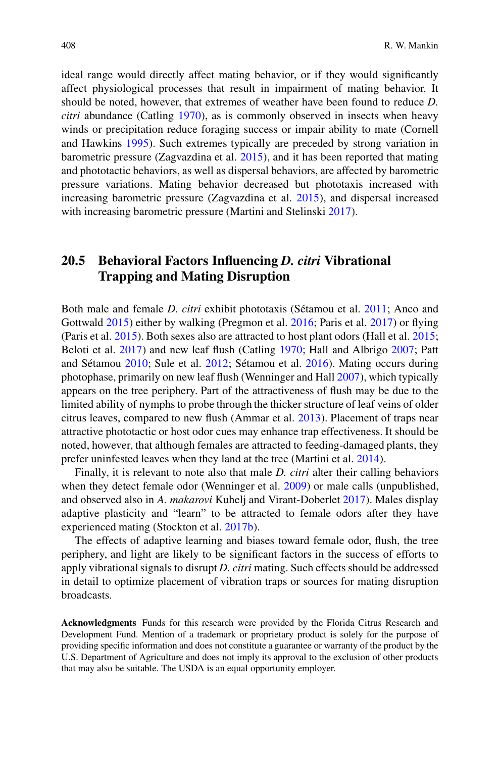ideal range would directly affect mating behavior, or if they would significantly affect physiological processes that result in impairment of mating behavior. It should be noted, however, that extremes of weather have been found to reduce *D. citri* abundance (Catling [1970\)](#page-10-19), as is commonly observed in insects when heavy winds or precipitation reduce foraging success or impair ability to mate (Cornell and Hawkins [1995\)](#page-10-10). Such extremes typically are preceded by strong variation in barometric pressure (Zagvazdina et al. [2015\)](#page-14-1), and it has been reported that mating and phototactic behaviors, as well as dispersal behaviors, are affected by barometric pressure variations. Mating behavior decreased but phototaxis increased with increasing barometric pressure (Zagvazdina et al. [2015\)](#page-14-1), and dispersal increased with increasing barometric pressure (Martini and Stelinski [2017\)](#page-12-9).

## <span id="page-9-0"></span>**20.5 Behavioral Factors Influencing** *D. citri* **Vibrational Trapping and Mating Disruption**

Both male and female *D. citri* exhibit phototaxis (Sétamou et al. [2011;](#page-13-7) Anco and Gottwald [2015\)](#page-10-20) either by walking (Pregmon et al. [2016;](#page-13-17) Paris et al. [2017\)](#page-13-13) or flying (Paris et al. [2015\)](#page-13-18). Both sexes also are attracted to host plant odors (Hall et al. [2015;](#page-11-17) Beloti et al. [2017\)](#page-10-21) and new leaf flush (Catling [1970;](#page-10-19) Hall and Albrigo [2007;](#page-11-18) Patt and Sétamou [2010;](#page-13-19) Sule et al. [2012;](#page-13-20) Sétamou et al. [2016\)](#page-13-6). Mating occurs during photophase, primarily on new leaf flush (Wenninger and Hall [2007\)](#page-14-6), which typically appears on the tree periphery. Part of the attractiveness of flush may be due to the limited ability of nymphs to probe through the thicker structure of leaf veins of older citrus leaves, compared to new flush (Ammar et al. [2013\)](#page-10-22). Placement of traps near attractive phototactic or host odor cues may enhance trap effectiveness. It should be noted, however, that although females are attracted to feeding-damaged plants, they prefer uninfested leaves when they land at the tree (Martini et al. [2014\)](#page-12-21).

Finally, it is relevant to note also that male *D. citri* alter their calling behaviors when they detect female odor (Wenninger et al. [2009\)](#page-14-0) or male calls (unpublished, and observed also in *A. makarovi* Kuhelj and Virant-Doberlet [2017\)](#page-11-19). Males display adaptive plasticity and "learn" to be attracted to female odors after they have experienced mating (Stockton et al. [2017b\)](#page-13-21).

The effects of adaptive learning and biases toward female odor, flush, the tree periphery, and light are likely to be significant factors in the success of efforts to apply vibrational signals to disrupt *D. citri* mating. Such effects should be addressed in detail to optimize placement of vibration traps or sources for mating disruption broadcasts.

**Acknowledgments** Funds for this research were provided by the Florida Citrus Research and Development Fund. Mention of a trademark or proprietary product is solely for the purpose of providing specific information and does not constitute a guarantee or warranty of the product by the U.S. Department of Agriculture and does not imply its approval to the exclusion of other products that may also be suitable. The USDA is an equal opportunity employer.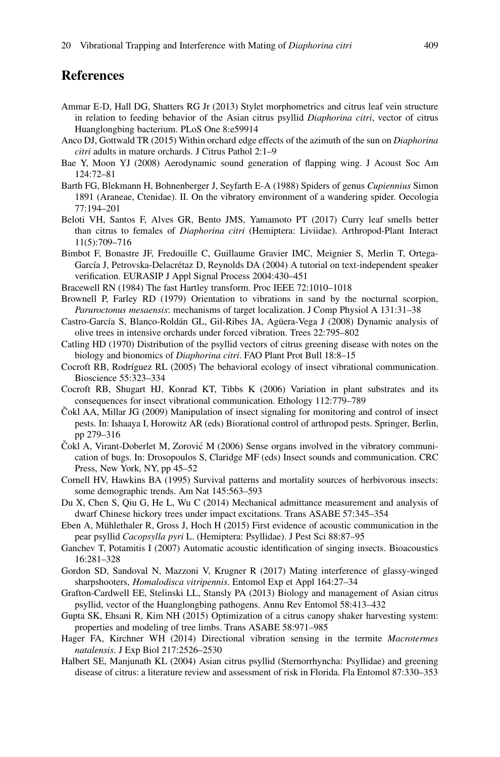### **References**

- <span id="page-10-22"></span>Ammar E-D, Hall DG, Shatters RG Jr (2013) Stylet morphometrics and citrus leaf vein structure in relation to feeding behavior of the Asian citrus psyllid *Diaphorina citri*, vector of citrus Huanglongbing bacterium. PLoS One 8:e59914
- <span id="page-10-20"></span>Anco DJ, Gottwald TR (2015) Within orchard edge effects of the azimuth of the sun on *Diaphorina citri* adults in mature orchards. J Citrus Pathol 2:1–9
- <span id="page-10-3"></span>Bae Y, Moon YJ (2008) Aerodynamic sound generation of flapping wing. J Acoust Soc Am 124:72–81
- <span id="page-10-9"></span>Barth FG, Blekmann H, Bohnenberger J, Seyfarth E-A (1988) Spiders of genus *Cupiennius* Simon 1891 (Araneae, Ctenidae). II. On the vibratory environment of a wandering spider. Oecologia 77:194–201
- <span id="page-10-21"></span>Beloti VH, Santos F, Alves GR, Bento JMS, Yamamoto PT (2017) Curry leaf smells better than citrus to females of *Diaphorina citri* (Hemiptera: Liviidae). Arthropod-Plant Interact 11(5):709–716
- <span id="page-10-11"></span>Bimbot F, Bonastre JF, Fredouille C, Guillaume Gravier IMC, Meignier S, Merlin T, Ortega-García J, Petrovska-Delacrétaz D, Reynolds DA (2004) A tutorial on text-independent speaker verification. EURASIP J Appl Signal Process 2004:430–451
- <span id="page-10-8"></span>Bracewell RN (1984) The fast Hartley transform. Proc IEEE 72:1010–1018
- <span id="page-10-5"></span>Brownell P, Farley RD (1979) Orientation to vibrations in sand by the nocturnal scorpion, *Paruroctonus mesaensis*: mechanisms of target localization. J Comp Physiol A 131:31–38
- <span id="page-10-16"></span>Castro-García S, Blanco-Roldán GL, Gil-Ribes JA, Agüera-Vega J (2008) Dynamic analysis of olive trees in intensive orchards under forced vibration. Trees 22:795–802
- <span id="page-10-19"></span>Catling HD (1970) Distribution of the psyllid vectors of citrus greening disease with notes on the biology and bionomics of *Diaphorina citri*. FAO Plant Prot Bull 18:8–15
- <span id="page-10-7"></span>Cocroft RB, Rodríguez RL (2005) The behavioral ecology of insect vibrational communication. Bioscience 55:323–334
- <span id="page-10-15"></span>Cocroft RB, Shugart HJ, Konrad KT, Tibbs K (2006) Variation in plant substrates and its consequences for insect vibrational communication. Ethology 112:779–789
- <span id="page-10-0"></span> $\text{Cokl AA}, \text{Millar JG}$  (2009) Manipulation of insect signaling for monitoring and control of insect pests. In: Ishaaya I, Horowitz AR (eds) Biorational control of arthropod pests. Springer, Berlin, pp 279–316
- <span id="page-10-4"></span>Cokl A, Virant-Doberlet M, Zorović M (2006) Sense organs involved in the vibratory communication of bugs. In: Drosopoulos S, Claridge MF (eds) Insect sounds and communication. CRC Press, New York, NY, pp 45–52
- <span id="page-10-10"></span>Cornell HV, Hawkins BA (1995) Survival patterns and mortality sources of herbivorous insects: some demographic trends. Am Nat 145:563–593
- <span id="page-10-17"></span>Du X, Chen S, Qiu G, He L, Wu C (2014) Mechanical admittance measurement and analysis of dwarf Chinese hickory trees under impact excitations. Trans ASABE 57:345–354
- <span id="page-10-2"></span>Eben A, Mühlethaler R, Gross J, Hoch H (2015) First evidence of acoustic communication in the pear psyllid *Cacopsylla pyri* L. (Hemiptera: Psyllidae). J Pest Sci 88:87–95
- <span id="page-10-12"></span>Ganchev T, Potamitis I (2007) Automatic acoustic identification of singing insects. Bioacoustics 16:281–328
- <span id="page-10-1"></span>Gordon SD, Sandoval N, Mazzoni V, Krugner R (2017) Mating interference of glassy-winged sharpshooters, *Homalodisca vitripennis*. Entomol Exp et Appl 164:27–34
- <span id="page-10-14"></span>Grafton-Cardwell EE, Stelinski LL, Stansly PA (2013) Biology and management of Asian citrus psyllid, vector of the Huanglongbing pathogens. Annu Rev Entomol 58:413–432
- <span id="page-10-18"></span>Gupta SK, Ehsani R, Kim NH (2015) Optimization of a citrus canopy shaker harvesting system: properties and modeling of tree limbs. Trans ASABE 58:971–985
- <span id="page-10-6"></span>Hager FA, Kirchner WH (2014) Directional vibration sensing in the termite *Macrotermes natalensis*. J Exp Biol 217:2526–2530
- <span id="page-10-13"></span>Halbert SE, Manjunath KL (2004) Asian citrus psyllid (Sternorrhyncha: Psyllidae) and greening disease of citrus: a literature review and assessment of risk in Florida. Fla Entomol 87:330–353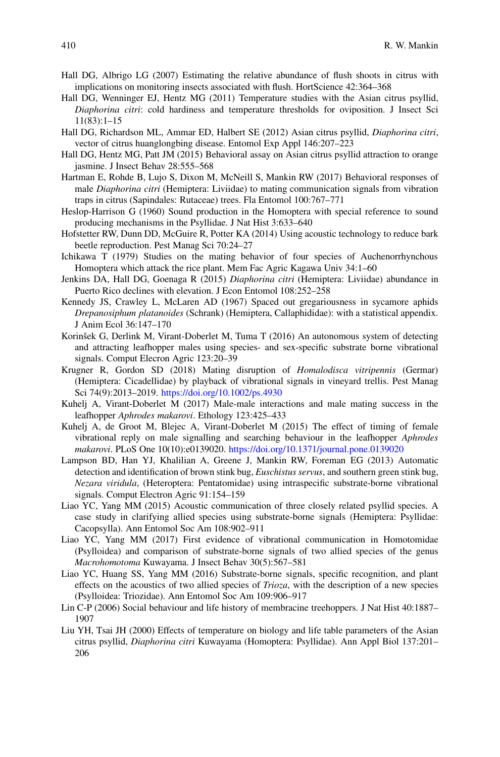- <span id="page-11-18"></span>Hall DG, Albrigo LG (2007) Estimating the relative abundance of flush shoots in citrus with implications on monitoring insects associated with flush. HortScience 42:364–368
- <span id="page-11-15"></span>Hall DG, Wenninger EJ, Hentz MG (2011) Temperature studies with the Asian citrus psyllid, *Diaphorina citri*: cold hardiness and temperature thresholds for oviposition. J Insect Sci 11(83):1–15
- <span id="page-11-4"></span>Hall DG, Richardson ML, Ammar ED, Halbert SE (2012) Asian citrus psyllid, *Diaphorina citri*, vector of citrus huanglongbing disease. Entomol Exp Appl 146:207–223
- <span id="page-11-17"></span>Hall DG, Hentz MG, Patt JM (2015) Behavioral assay on Asian citrus psyllid attraction to orange jasmine. J Insect Behav 28:555–568
- <span id="page-11-5"></span>Hartman E, Rohde B, Lujo S, Dixon M, McNeill S, Mankin RW (2017) Behavioral responses of male *Diaphorina citri* (Hemiptera: Liviidae) to mating communication signals from vibration traps in citrus (Sapindales: Rutaceae) trees. Fla Entomol 100:767–771
- <span id="page-11-10"></span>Heslop-Harrison G (1960) Sound production in the Homoptera with special reference to sound producing mechanisms in the Psyllidae. J Nat Hist 3:633–640
- <span id="page-11-0"></span>Hofstetter RW, Dunn DD, McGuire R, Potter KA (2014) Using acoustic technology to reduce bark beetle reproduction. Pest Manag Sci 70:24–27
- <span id="page-11-9"></span>Ichikawa T (1979) Studies on the mating behavior of four species of Auchenorrhynchous Homoptera which attack the rice plant. Mem Fac Agric Kagawa Univ 34:1–60
- <span id="page-11-16"></span>Jenkins DA, Hall DG, Goenaga R (2015) *Diaphorina citri* (Hemiptera: Liviidae) abundance in Puerto Rico declines with elevation. J Econ Entomol 108:252–258
- <span id="page-11-7"></span>Kennedy JS, Crawley L, McLaren AD (1967) Spaced out gregariousness in sycamore aphids *Drepanosiphum platanoides* (Schrank) (Hemiptera, Callaphididae): with a statistical appendix. J Anim Ecol 36:147–170
- <span id="page-11-12"></span>Korinšek G, Derlink M, Virant-Doberlet M, Tuma T (2016) An autonomous system of detecting and attracting leafhopper males using species- and sex-specific substrate borne vibrational signals. Comput Elecron Agric 123:20–39
- <span id="page-11-6"></span>Krugner R, Gordon SD (2018) Mating disruption of *Homalodisca vitripennis* (Germar) (Hemiptera: Cicadellidae) by playback of vibrational signals in vineyard trellis. Pest Manag Sci 74(9):2013–2019. [https://doi.org/10.1002/ps.4930](http://dx.doi.org/10.1002/ps.4930)
- <span id="page-11-19"></span>Kuhelj A, Virant-Doberlet M (2017) Male-male interactions and male mating success in the leafhopper *Aphrodes makarovi*. Ethology 123:425–433
- <span id="page-11-11"></span>Kuhelj A, de Groot M, Blejec A, Virant-Doberlet M (2015) The effect of timing of female vibrational reply on male signalling and searching behaviour in the leafhopper *Aphrodes makarovi*. PLoS One 10(10):e0139020. [https://doi.org/10.1371/journal.pone.0139020](http://dx.doi.org/10.1371/journal.pone.0139020)
- <span id="page-11-13"></span>Lampson BD, Han YJ, Khalilian A, Greene J, Mankin RW, Foreman EG (2013) Automatic detection and identification of brown stink bug, *Euschistus servus*, and southern green stink bug, *Nezara viridula*, (Heteroptera: Pentatomidae) using intraspecific substrate-borne vibrational signals. Comput Electron Agric 91:154–159
- <span id="page-11-1"></span>Liao YC, Yang MM (2015) Acoustic communication of three closely related psyllid species. A case study in clarifying allied species using substrate-borne signals (Hemiptera: Psyllidae: Cacopsylla). Ann Entomol Soc Am 108:902–911
- <span id="page-11-2"></span>Liao YC, Yang MM (2017) First evidence of vibrational communication in Homotomidae (Psylloidea) and comparison of substrate-borne signals of two allied species of the genus *Macrohomotoma* Kuwayama. J Insect Behav 30(5):567–581
- <span id="page-11-3"></span>Liao YC, Huang SS, Yang MM (2016) Substrate-borne signals, specific recognition, and plant effects on the acoustics of two allied species of *Trioza*, with the description of a new species (Psylloidea: Triozidae). Ann Entomol Soc Am 109:906–917
- <span id="page-11-8"></span>Lin C-P (2006) Social behaviour and life history of membracine treehoppers. J Nat Hist 40:1887– 1907
- <span id="page-11-14"></span>Liu YH, Tsai JH (2000) Effects of temperature on biology and life table parameters of the Asian citrus psyllid, *Diaphorina citri* Kuwayama (Homoptera: Psyllidae). Ann Appl Biol 137:201– 206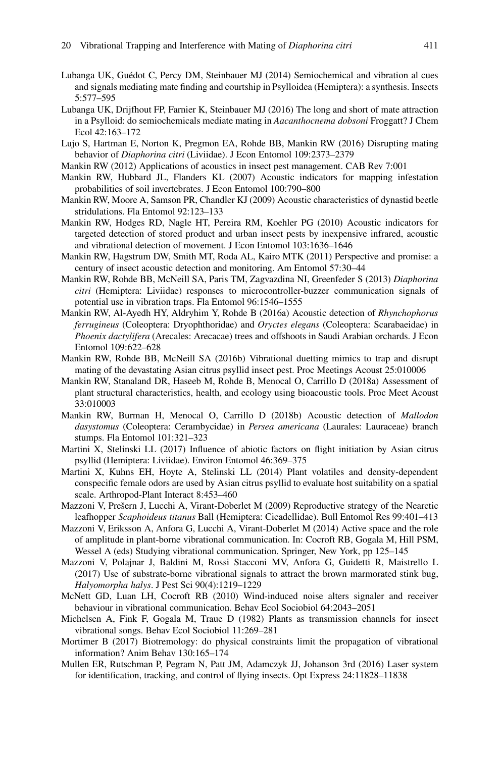- <span id="page-12-3"></span>Lubanga UK, Guédot C, Percy DM, Steinbauer MJ (2014) Semiochemical and vibration al cues and signals mediating mate finding and courtship in Psylloidea (Hemiptera): a synthesis. Insects 5:577–595
- <span id="page-12-4"></span>Lubanga UK, Drijfhout FP, Farnier K, Steinbauer MJ (2016) The long and short of mate attraction in a Psylloid: do semiochemicals mediate mating in *Aacanthocnema dobsoni* Froggatt? J Chem Ecol 42:163–172
- <span id="page-12-6"></span>Lujo S, Hartman E, Norton K, Pregmon EA, Rohde BB, Mankin RW (2016) Disrupting mating behavior of *Diaphorina citri* (Liviidae). J Econ Entomol 109:2373–2379
- <span id="page-12-2"></span>Mankin RW (2012) Applications of acoustics in insect pest management. CAB Rev 7:001
- <span id="page-12-18"></span>Mankin RW, Hubbard JL, Flanders KL (2007) Acoustic indicators for mapping infestation probabilities of soil invertebrates. J Econ Entomol 100:790–800
- <span id="page-12-12"></span>Mankin RW, Moore A, Samson PR, Chandler KJ (2009) Acoustic characteristics of dynastid beetle stridulations. Fla Entomol 92:123–133
- <span id="page-12-13"></span>Mankin RW, Hodges RD, Nagle HT, Pereira RM, Koehler PG (2010) Acoustic indicators for targeted detection of stored product and urban insect pests by inexpensive infrared, acoustic and vibrational detection of movement. J Econ Entomol 103:1636–1646
- <span id="page-12-14"></span>Mankin RW, Hagstrum DW, Smith MT, Roda AL, Kairo MTK (2011) Perspective and promise: a century of insect acoustic detection and monitoring. Am Entomol 57:30–44
- <span id="page-12-5"></span>Mankin RW, Rohde BB, McNeill SA, Paris TM, Zagvazdina NI, Greenfeder S (2013) *Diaphorina citri* (Hemiptera: Liviidae) responses to microcontroller-buzzer communication signals of potential use in vibration traps. Fla Entomol 96:1546–1555
- <span id="page-12-16"></span>Mankin RW, Al-Ayedh HY, Aldryhim Y, Rohde B (2016a) Acoustic detection of *Rhynchophorus ferrugineus* (Coleoptera: Dryophthoridae) and *Oryctes elegans* (Coleoptera: Scarabaeidae) in *Phoenix dactylifera* (Arecales: Arecacae) trees and offshoots in Saudi Arabian orchards. J Econ Entomol 109:622–628
- <span id="page-12-7"></span>Mankin RW, Rohde BB, McNeill SA (2016b) Vibrational duetting mimics to trap and disrupt mating of the devastating Asian citrus psyllid insect pest. Proc Meetings Acoust 25:010006
- <span id="page-12-8"></span>Mankin RW, Stanaland DR, Haseeb M, Rohde B, Menocal O, Carrillo D (2018a) Assessment of plant structural characteristics, health, and ecology using bioacoustic tools. Proc Meet Acoust 33:010003
- <span id="page-12-17"></span>Mankin RW, Burman H, Menocal O, Carrillo D (2018b) Acoustic detection of *Mallodon dasystomus* (Coleoptera: Cerambycidae) in *Persea americana* (Laurales: Lauraceae) branch stumps. Fla Entomol 101:321–323
- <span id="page-12-9"></span>Martini X, Stelinski LL (2017) Influence of abiotic factors on flight initiation by Asian citrus psyllid (Hemiptera: Liviidae). Environ Entomol 46:369–375
- <span id="page-12-21"></span>Martini X, Kuhns EH, Hoyte A, Stelinski LL (2014) Plant volatiles and density-dependent conspecific female odors are used by Asian citrus psyllid to evaluate host suitability on a spatial scale. Arthropod-Plant Interact 8:453–460
- <span id="page-12-0"></span>Mazzoni V, Prešern J, Lucchi A, Virant-Doberlet M (2009) Reproductive strategy of the Nearctic leafhopper *Scaphoideus titanus* Ball (Hemiptera: Cicadellidae). Bull Entomol Res 99:401–413
- <span id="page-12-20"></span>Mazzoni V, Eriksson A, Anfora G, Lucchi A, Virant-Doberlet M (2014) Active space and the role of amplitude in plant-borne vibrational communication. In: Cocroft RB, Gogala M, Hill PSM, Wessel A (eds) Studying vibrational communication. Springer, New York, pp 125–145
- <span id="page-12-1"></span>Mazzoni V, Polajnar J, Baldini M, Rossi Stacconi MV, Anfora G, Guidetti R, Maistrello L (2017) Use of substrate-borne vibrational signals to attract the brown marmorated stink bug, *Halyomorpha halys*. J Pest Sci 90(4):1219–1229
- <span id="page-12-15"></span>McNett GD, Luan LH, Cocroft RB (2010) Wind-induced noise alters signaler and receiver behaviour in vibrational communication. Behav Ecol Sociobiol 64:2043–2051
- <span id="page-12-11"></span>Michelsen A, Fink F, Gogala M, Traue D (1982) Plants as transmission channels for insect vibrational songs. Behav Ecol Sociobiol 11:269–281
- <span id="page-12-19"></span>Mortimer B (2017) Biotremology: do physical constraints limit the propagation of vibrational information? Anim Behav 130:165–174
- <span id="page-12-10"></span>Mullen ER, Rutschman P, Pegram N, Patt JM, Adamczyk JJ, Johanson 3rd (2016) Laser system for identification, tracking, and control of flying insects. Opt Express 24:11828–11838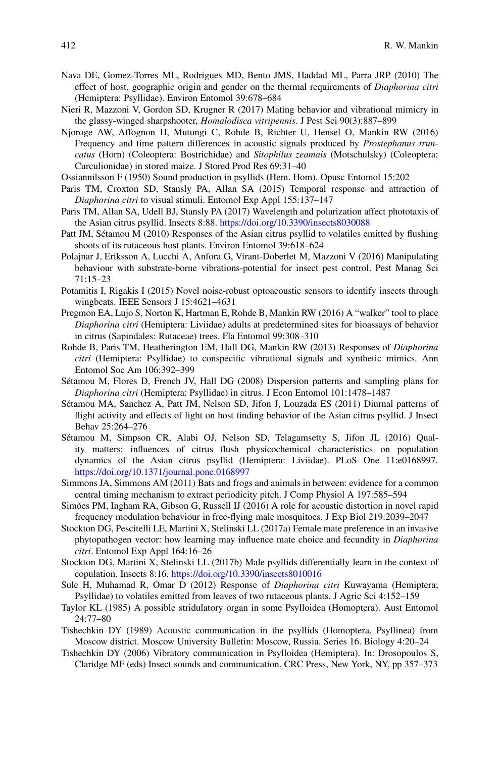- <span id="page-13-16"></span>Nava DE, Gomez-Torres ML, Rodrigues MD, Bento JMS, Haddad ML, Parra JRP (2010) The effect of host, geographic origin and gender on the thermal requirements of *Diaphorina citri* (Hemiptera: Psyllidae). Environ Entomol 39:678–684
- <span id="page-13-1"></span>Nieri R, Mazzoni V, Gordon SD, Krugner R (2017) Mating behavior and vibrational mimicry in the glassy-winged sharpshooter, *Homalodisca vitripennis*. J Pest Sci 90(3):887–899
- <span id="page-13-15"></span>Njoroge AW, Affognon H, Mutungi C, Rohde B, Richter U, Hensel O, Mankin RW (2016) Frequency and time pattern differences in acoustic signals produced by *Prostephanus truncatus* (Horn) (Coleoptera: Bostrichidae) and *Sitophilus zeamais* (Motschulsky) (Coleoptera: Curculionidae) in stored maize. J Stored Prod Res 69:31–40
- <span id="page-13-2"></span>Ossiannilsson F (1950) Sound production in psyllids (Hem. Hom). Opusc Entomol 15:202
- <span id="page-13-18"></span>Paris TM, Croxton SD, Stansly PA, Allan SA (2015) Temporal response and attraction of *Diaphorina citri* to visual stimuli. Entomol Exp Appl 155:137–147
- <span id="page-13-13"></span>Paris TM, Allan SA, Udell BJ, Stansly PA (2017) Wavelength and polarization affect phototaxis of the Asian citrus psyllid. Insects 8:88. [https://doi.org/10.3390/insects8030088](http://dx.doi.org/10.3390/insects8030088)
- <span id="page-13-19"></span>Patt JM, Sétamou M (2010) Responses of the Asian citrus psyllid to volatiles emitted by flushing shoots of its rutaceous host plants. Environ Entomol 39:618–624
- <span id="page-13-0"></span>Polajnar J, Eriksson A, Lucchi A, Anfora G, Virant-Doberlet M, Mazzoni V (2016) Manipulating behaviour with substrate-borne vibrations-potential for insect pest control. Pest Manag Sci 71:15–23
- <span id="page-13-14"></span>Potamitis I, Rigakis I (2015) Novel noise-robust optoacoustic sensors to identify insects through wingbeats. IEEE Sensors J 15:4621–4631
- <span id="page-13-17"></span>Pregmon EA, Lujo S, Norton K, Hartman E, Rohde B, Mankin RW (2016) A "walker" tool to place *Diaphorina citri* (Hemiptera: Liviidae) adults at predetermined sites for bioassays of behavior in citrus (Sapindales: Rutaceae) trees. Fla Entomol 99:308–310
- <span id="page-13-5"></span>Rohde B, Paris TM, Heatherington EM, Hall DG, Mankin RW (2013) Responses of *Diaphorina citri* (Hemiptera: Psyllidae) to conspecific vibrational signals and synthetic mimics. Ann Entomol Soc Am 106:392–399
- <span id="page-13-4"></span>Sétamou M, Flores D, French JV, Hall DG (2008) Dispersion patterns and sampling plans for *Diaphorina citri* (Hemiptera: Psyllidae) in citrus. J Econ Entomol 101:1478–1487
- <span id="page-13-7"></span>Sétamou MA, Sanchez A, Patt JM, Nelson SD, Jifon J, Louzada ES (2011) Diurnal patterns of flight activity and effects of light on host finding behavior of the Asian citrus psyllid. J Insect Behav 25:264–276
- <span id="page-13-6"></span>Sétamou M, Simpson CR, Alabi OJ, Nelson SD, Telagamsetty S, Jifon JL (2016) Quality matters: influences of citrus flush physicochemical characteristics on population dynamics of the Asian citrus psyllid (Hemiptera: Liviidae). PLoS One 11:e0168997. [https://doi.org/10.1371/journal.pone.0168997](http://dx.doi.org/10.1371/journal.pone.0168997)
- <span id="page-13-11"></span>Simmons JA, Simmons AM (2011) Bats and frogs and animals in between: evidence for a common central timing mechanism to extract periodicity pitch. J Comp Physiol A 197:585–594
- <span id="page-13-10"></span>Simões PM, Ingham RA, Gibson G, Russell IJ (2016) A role for acoustic distortion in novel rapid frequency modulation behaviour in free-flying male mosquitoes. J Exp Biol 219:2039–2047
- <span id="page-13-12"></span>Stockton DG, Pescitelli LE, Martini X, Stelinski LL (2017a) Female mate preference in an invasive phytopathogen vector: how learning may influence mate choice and fecundity in *Diaphorina citri*. Entomol Exp Appl 164:16–26
- <span id="page-13-21"></span>Stockton DG, Martini X, Stelinski LL (2017b) Male psyllids differentially learn in the context of copulation. Insects 8:16. [https://doi.org/10.3390/insects8010016](http://dx.doi.org/10.3390/insects8010016)
- <span id="page-13-20"></span>Sule H, Muhamad R, Omar D (2012) Response of *Diaphorina citri* Kuwayama (Hemiptera; Psyllidae) to volatiles emitted from leaves of two rutaceous plants. J Agric Sci 4:152–159
- <span id="page-13-8"></span>Taylor KL (1985) A possible stridulatory organ in some Psylloidea (Homoptera). Aust Entomol 24:77–80
- <span id="page-13-9"></span>Tishechkin DY (1989) Acoustic communication in the psyllids (Homoptera, Psyllinea) from Moscow district. Moscow University Bulletin: Moscow, Russia. Series 16. Biology 4:20–24
- <span id="page-13-3"></span>Tishechkin DY (2006) Vibratory communication in Psylloidea (Hemiptera). In: Drosopoulos S, Claridge MF (eds) Insect sounds and communication. CRC Press, New York, NY, pp 357–373